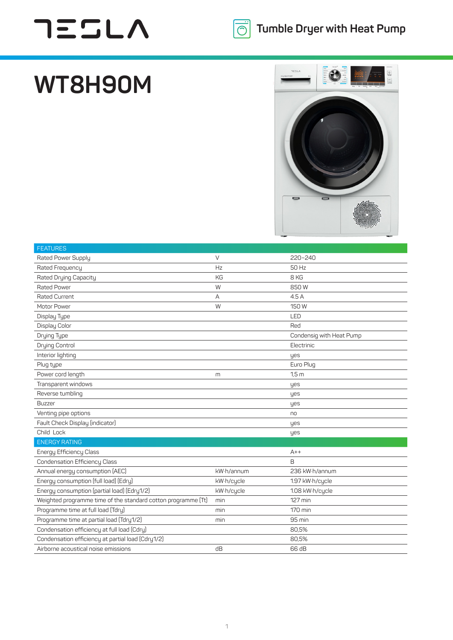## **TESLA**



## **WT8H90M**



| <b>FEATURES</b>                                               |            |                          |
|---------------------------------------------------------------|------------|--------------------------|
| Rated Power Supply                                            | $\vee$     | 220~240                  |
| Rated Frequency                                               | Hz         | 50 Hz                    |
| Rated Drying Capacity                                         | <b>KG</b>  | 8 KG                     |
| <b>Rated Power</b>                                            | W          | 850W                     |
| <b>Rated Current</b>                                          | A          | 4.5A                     |
| Motor Power                                                   | W          | 150 W                    |
| Display Type                                                  |            | LED                      |
| Display Color                                                 |            | Red                      |
| Drying Type                                                   |            | Condensig with Heat Pump |
| Drying Control                                                |            | Electrinic               |
| Interior lighting                                             |            | yes                      |
| Plug type                                                     |            | Euro Plug                |
| Power cord length                                             | m          | 1.5 <sub>m</sub>         |
| Transparent windows                                           |            | yes                      |
| Reverse tumbling                                              |            | yes                      |
| <b>Buzzer</b>                                                 |            | yes                      |
| Venting pipe options                                          |            | no                       |
| Fault Check Display (indicator)                               |            | yes                      |
| Child Lock                                                    |            | yes                      |
| <b>ENERGY RATING</b>                                          |            |                          |
| Energy Efficiency Class                                       |            | $A++$                    |
| <b>Condensation Efficiency Class</b>                          |            | B                        |
| Annual energy consumption (AEC)                               | kW·h/annum | 236 kW·h/annum           |
| Energy consumption (full load) (Edry)                         | kW·h/cycle | 1.97 kW·h/cycle          |
| Energy consumption (partial load) (Edry1/2)                   | kW·h/cycle | 1.08 kW·h/cycle          |
| Weighted programme time of the standard cotton programme (Tt) | min        | 127 min                  |
| Programme time at full load (Tdry)                            | min        | 170 min                  |
| Programme time at partial load (Tdry1/2)                      | min        | 95 min                   |
| Condensation efficiency at full load (Cdry)                   |            | 80,5%                    |
| Condensation efficiency at partial load (Cdry1/2)             |            | 80,5%                    |
| Airborne acoustical noise emissions                           | dB         | 66 dB                    |